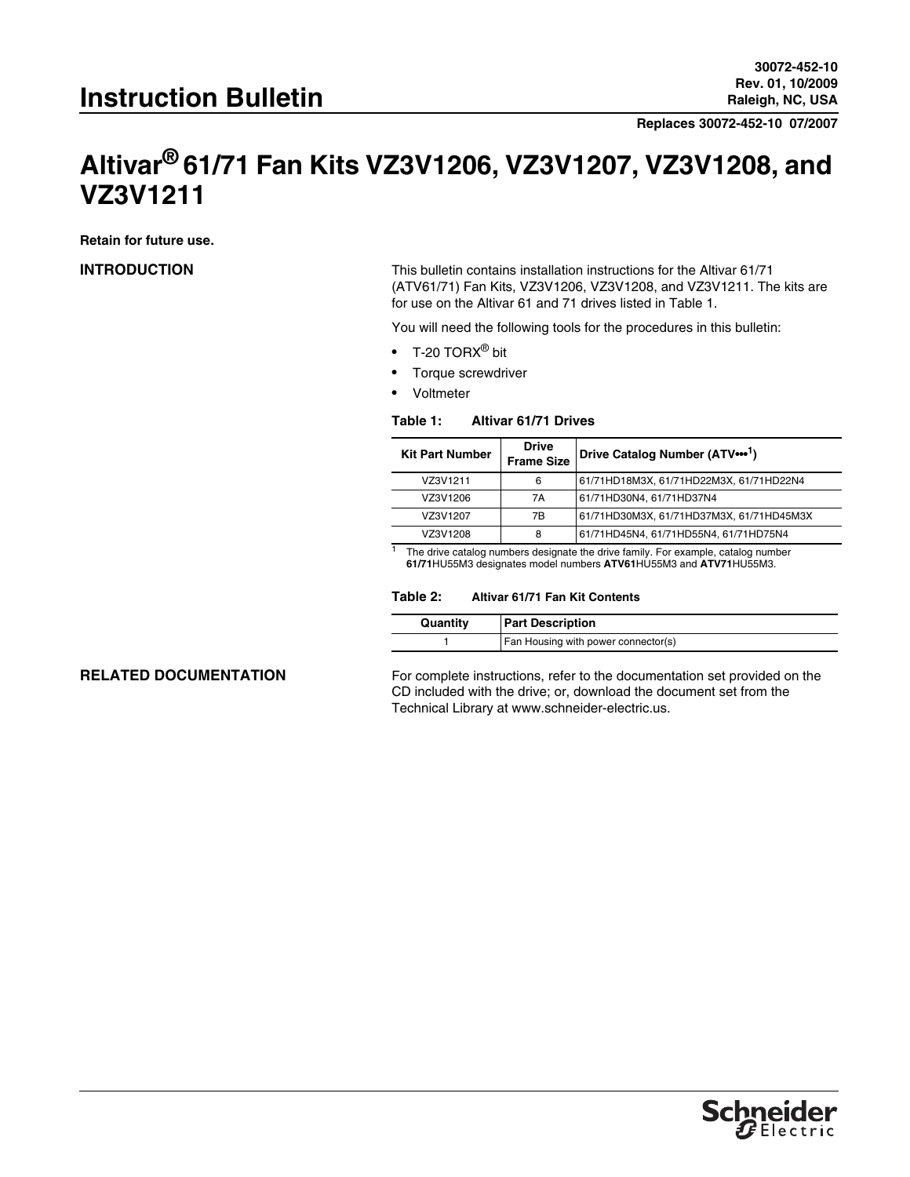**Replaces 30072-452-10 07/2007**

# **Altivar® 61/71 Fan Kits VZ3V1206, VZ3V1207, VZ3V1208, and VZ3V1211**

**Retain for future use.**

**INTRODUCTION** This bulletin contains installation instructions for the Altivar 61/71 (ATV61/71) Fan Kits, VZ3V1206, VZ3V1208, and VZ3V1211. The kits are for use on the Altivar 61 and 71 drives listed in [Table 1](#page-0-0).

You will need the following tools for the procedures in this bulletin:

- T-20 TORX $^{\circledR}$  bit
- Torque screwdriver
- Voltmeter

### <span id="page-0-0"></span>**Table 1: Altivar 61/71 Drives**

| <b>Kit Part Number</b> | <b>Drive</b><br><b>Frame Size</b> | Drive Catalog Number (ATV ••• 1)         |
|------------------------|-----------------------------------|------------------------------------------|
| VZ3V1211               | 6                                 | 61/71HD18M3X, 61/71HD22M3X, 61/71HD22N4  |
| VZ3V1206               | 7A                                | 61/71HD30N4, 61/71HD37N4                 |
| VZ3V1207               | 7B                                | 61/71HD30M3X, 61/71HD37M3X, 61/71HD45M3X |
| VZ3V1208               | 8                                 | 61/71HD45N4, 61/71HD55N4, 61/71HD75N4    |

<sup>1</sup> The drive catalog numbers designate the drive family. For example, catalog number **61/71**HU55M3 designates model numbers **ATV61**HU55M3 and **ATV71**HU55M3.

### **Table 2: Altivar 61/71 Fan Kit Contents**

| Quantity | <b>Part Description</b>             |  |
|----------|-------------------------------------|--|
|          | Fan Housing with power connector(s) |  |

**RELATED DOCUMENTATION** For complete instructions, refer to the documentation set provided on the CD included with the drive; or, download the document set from the Technical Library at www.schneider-electric.us.

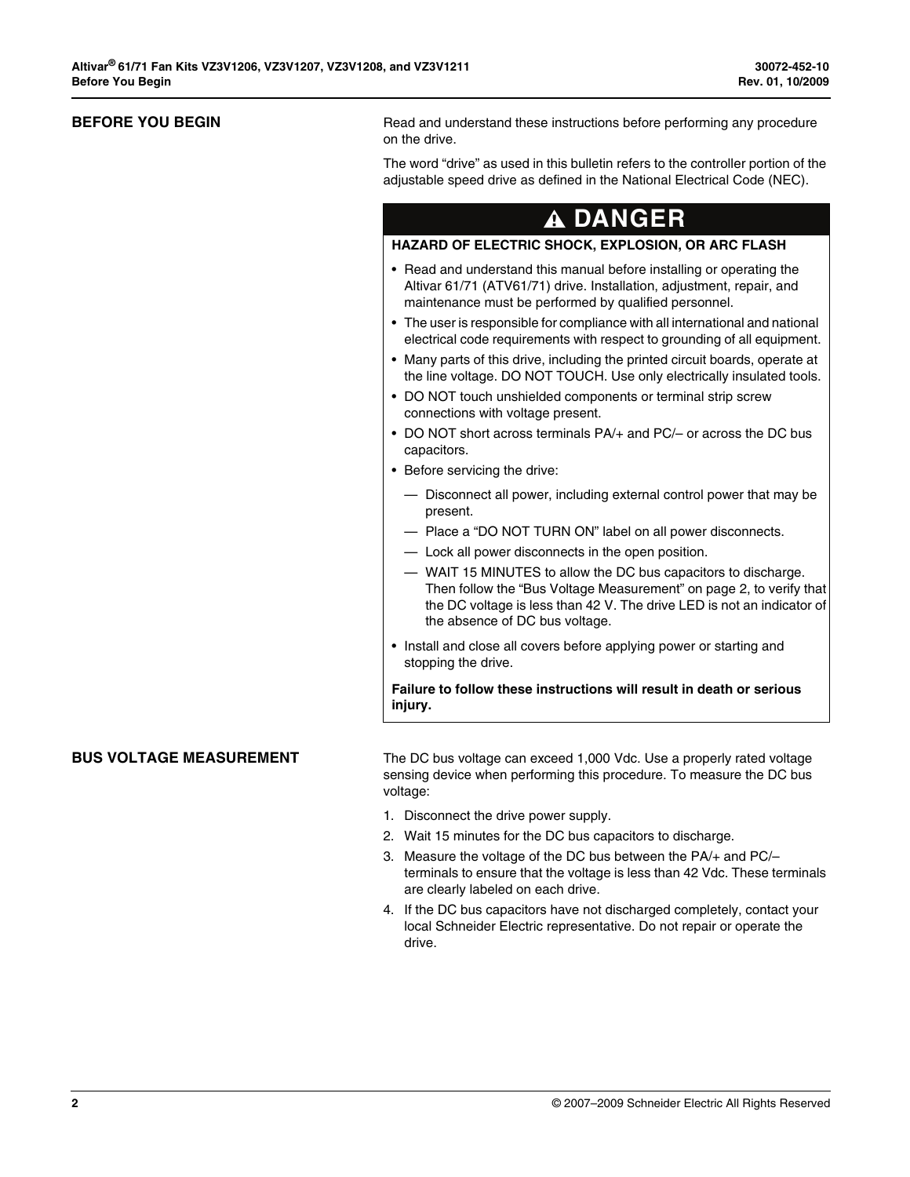**BEFORE YOU BEGIN** Read and understand these instructions before performing any procedure on the drive.

> The word "drive" as used in this bulletin refers to the controller portion of the adjustable speed drive as defined in the National Electrical Code (NEC).

# **DANGER**

# **HAZARD OF ELECTRIC SHOCK, EXPLOSION, OR ARC FLASH**

- Read and understand this manual before installing or operating the Altivar 61/71 (ATV61/71) drive. Installation, adjustment, repair, and maintenance must be performed by qualified personnel.
- The user is responsible for compliance with all international and national electrical code requirements with respect to grounding of all equipment.
- Many parts of this drive, including the printed circuit boards, operate at the line voltage. DO NOT TOUCH. Use only electrically insulated tools.
- DO NOT touch unshielded components or terminal strip screw connections with voltage present.
- DO NOT short across terminals PA/+ and PC/– or across the DC bus capacitors.
- Before servicing the drive:
	- Disconnect all power, including external control power that may be present.
	- Place a "DO NOT TURN ON" label on all power disconnects.
- Lock all power disconnects in the open position.
- WAIT 15 MINUTES to allow the DC bus capacitors to discharge. Then follow the ["Bus Voltage Measurement" on page 2,](#page-1-0) to verify that the DC voltage is less than 42 V. The drive LED is not an indicator of the absence of DC bus voltage.
- Install and close all covers before applying power or starting and stopping the drive.

**Failure to follow these instructions will result in death or serious injury.**

<span id="page-1-0"></span>**BUS VOLTAGE MEASUREMENT** The DC bus voltage can exceed 1,000 Vdc. Use a properly rated voltage sensing device when performing this procedure. To measure the DC bus voltage:

- 1. Disconnect the drive power supply.
- 2. Wait 15 minutes for the DC bus capacitors to discharge.
- 3. Measure the voltage of the DC bus between the PA/+ and PC/– terminals to ensure that the voltage is less than 42 Vdc. These terminals are clearly labeled on each drive.
- 4. If the DC bus capacitors have not discharged completely, contact your local Schneider Electric representative. Do not repair or operate the drive.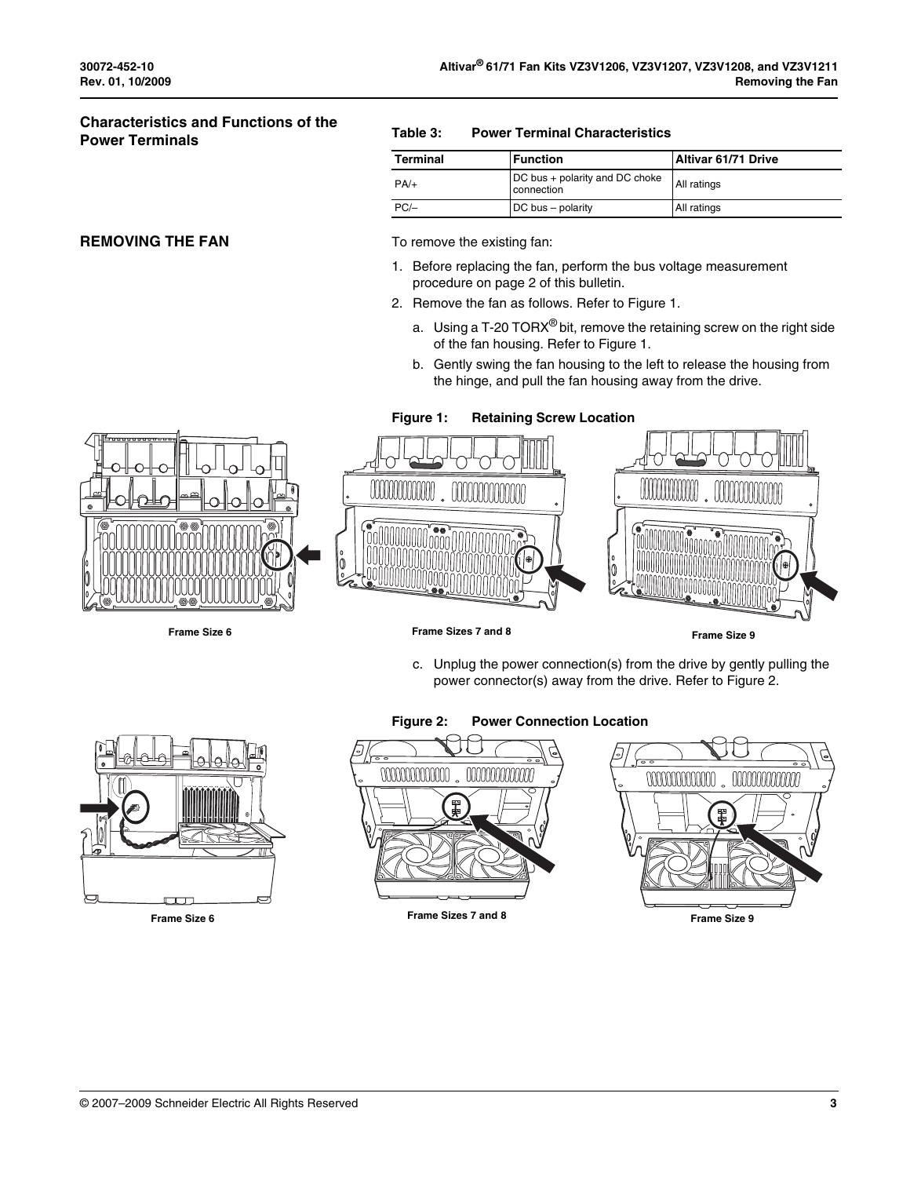# **Characteristics and Functions of the Power Terminals**

## **REMOVING THE FAN** To remove the existing fan:

### **Table 3: Power Terminal Characteristics**

| Terminal | Function                                     | <b>Altivar 61/71 Drive</b> |
|----------|----------------------------------------------|----------------------------|
| $PA/+$   | DC bus + polarity and DC choke<br>connection | All ratings                |
| $PC/-$   | DC bus - polarity                            | All ratings                |

- 1. Before replacing the fan, perform the bus voltage measurement procedure on [page 2](#page-1-0) of this bulletin.
- 2. Remove the fan as follows. Refer to [Figure 1.](#page-2-0)
	- a. Using a T-20 TORX<sup>®</sup> bit, remove the retaining screw on the right side of the fan housing. Refer to [Figure 1.](#page-2-0)
	- b. Gently swing the fan housing to the left to release the housing from the hinge, and pull the fan housing away from the drive.



000000000000

<span id="page-2-0"></span>**Figure 1: Retaining Screw Location**

**Frame Size 6 Frame Sizes 7 and 8 Frame Size 9**

c. Unplug the power connection(s) from the drive by gently pulling the power connector(s) away from the drive. Refer to [Figure 2](#page-2-1).



### <span id="page-2-1"></span>**Figure 2: Power Connection Location**